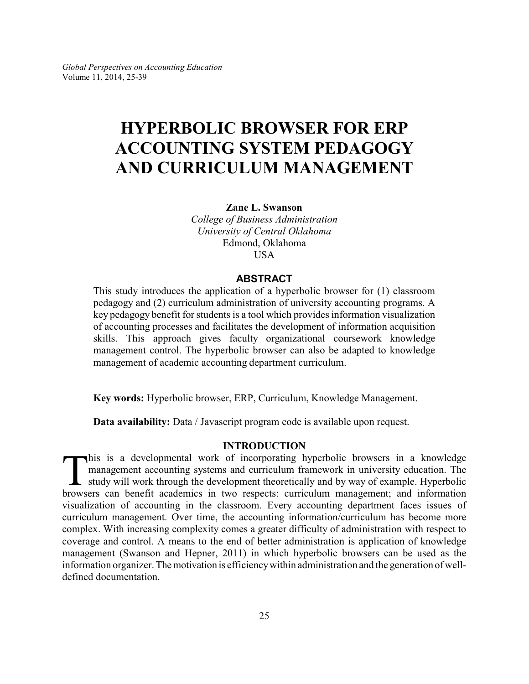# **HYPERBOLIC BROWSER FOR ERP ACCOUNTING SYSTEM PEDAGOGY AND CURRICULUM MANAGEMENT**

**Zane L. Swanson**

*College of Business Administration University of Central Oklahoma* Edmond, Oklahoma USA

# **ABSTRACT**

This study introduces the application of a hyperbolic browser for (1) classroom pedagogy and (2) curriculum administration of university accounting programs. A key pedagogy benefit for students is a tool which provides information visualization of accounting processes and facilitates the development of information acquisition skills. This approach gives faculty organizational coursework knowledge management control. The hyperbolic browser can also be adapted to knowledge management of academic accounting department curriculum.

**Key words:** Hyperbolic browser, ERP, Curriculum, Knowledge Management.

**Data availability:** Data / Javascript program code is available upon request.

# **INTRODUCTION**

This is a developmental work of incorporating hyperbolic browsers in a knowledge management accounting systems and curriculum framework in university education. The study will work through the development theoretically and his is a developmental work of incorporating hyperbolic browsers in a knowledge management accounting systems and curriculum framework in university education. The  $\mathsf{\mathsf{L}}$  study will work through the development theoretically and by way of example. Hyperbolic visualization of accounting in the classroom. Every accounting department faces issues of curriculum management. Over time, the accounting information/curriculum has become more complex. With increasing complexity comes a greater difficulty of administration with respect to coverage and control. A means to the end of better administration is application of knowledge management (Swanson and Hepner, 2011) in which hyperbolic browsers can be used as the information organizer. The motivation is efficiency within administration and the generation of welldefined documentation.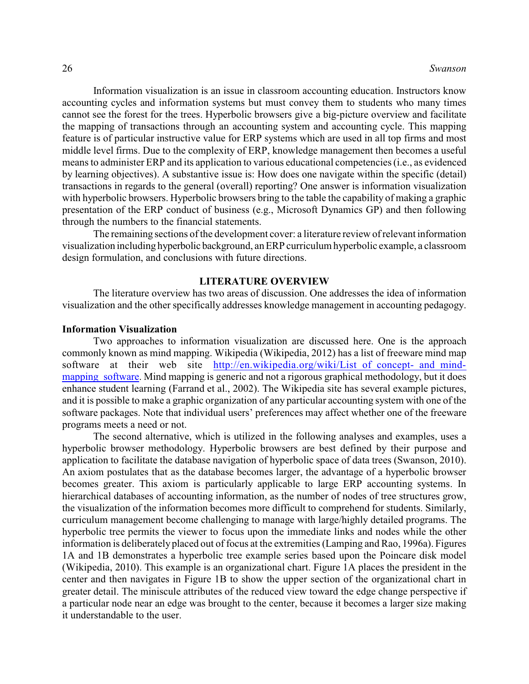Information visualization is an issue in classroom accounting education. Instructors know accounting cycles and information systems but must convey them to students who many times cannot see the forest for the trees. Hyperbolic browsers give a big-picture overview and facilitate the mapping of transactions through an accounting system and accounting cycle. This mapping feature is of particular instructive value for ERP systems which are used in all top firms and most middle level firms. Due to the complexity of ERP, knowledge management then becomes a useful means to administer ERP and its application to various educational competencies (i.e., as evidenced by learning objectives). A substantive issue is: How does one navigate within the specific (detail) transactions in regards to the general (overall) reporting? One answer is information visualization with hyperbolic browsers. Hyperbolic browsers bring to the table the capability of making a graphic presentation of the ERP conduct of business (e.g., Microsoft Dynamics GP) and then following through the numbers to the financial statements.

The remaining sections of the development cover: a literature review of relevant information visualization including hyperbolic background, an ERP curriculum hyperbolic example, a classroom design formulation, and conclusions with future directions.

# **LITERATURE OVERVIEW**

The literature overview has two areas of discussion. One addresses the idea of information visualization and the other specifically addresses knowledge management in accounting pedagogy.

#### **Information Visualization**

Two approaches to information visualization are discussed here. One is the approach commonly known as mind mapping. Wikipedia (Wikipedia, 2012) has a list of freeware mind map software at their web site http://en.wikipedia.org/wiki/List of concept- and mindmapping software. Mind mapping is generic and not a rigorous graphical methodology, but it does enhance student learning (Farrand et al., 2002). The Wikipedia site has several example pictures, and it is possible to make a graphic organization of any particular accounting system with one of the software packages. Note that individual users' preferences may affect whether one of the freeware programs meets a need or not.

The second alternative, which is utilized in the following analyses and examples, uses a hyperbolic browser methodology. Hyperbolic browsers are best defined by their purpose and application to facilitate the database navigation of hyperbolic space of data trees (Swanson, 2010). An axiom postulates that as the database becomes larger, the advantage of a hyperbolic browser becomes greater. This axiom is particularly applicable to large ERP accounting systems. In hierarchical databases of accounting information, as the number of nodes of tree structures grow, the visualization of the information becomes more difficult to comprehend for students. Similarly, curriculum management become challenging to manage with large/highly detailed programs. The hyperbolic tree permits the viewer to focus upon the immediate links and nodes while the other information is deliberately placed out of focus at the extremities (Lamping and Rao, 1996a). Figures 1A and 1B demonstrates a hyperbolic tree example series based upon the Poincare disk model (Wikipedia, 2010). This example is an organizational chart. Figure 1A places the president in the center and then navigates in Figure 1B to show the upper section of the organizational chart in greater detail. The miniscule attributes of the reduced view toward the edge change perspective if a particular node near an edge was brought to the center, because it becomes a larger size making it understandable to the user.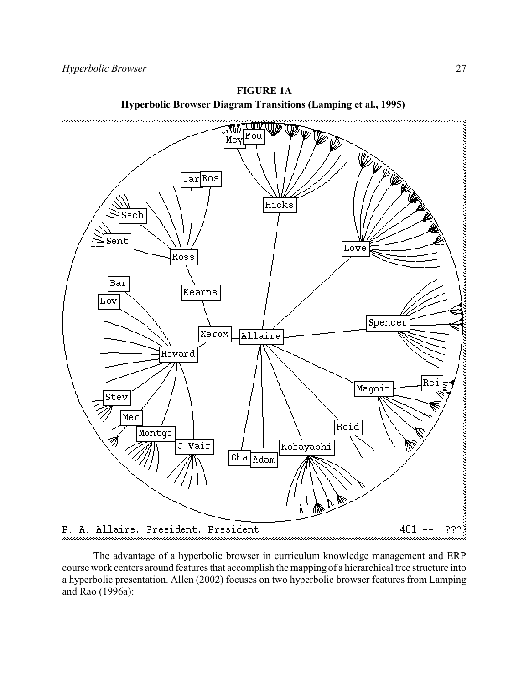

**FIGURE 1A Hyperbolic Browser Diagram Transitions (Lamping et al., 1995)** 

The advantage of a hyperbolic browser in curriculum knowledge management and ERP course work centers around features that accomplish the mapping of a hierarchical tree structure into a hyperbolic presentation. Allen (2002) focuses on two hyperbolic browser features from Lamping and Rao (1996a):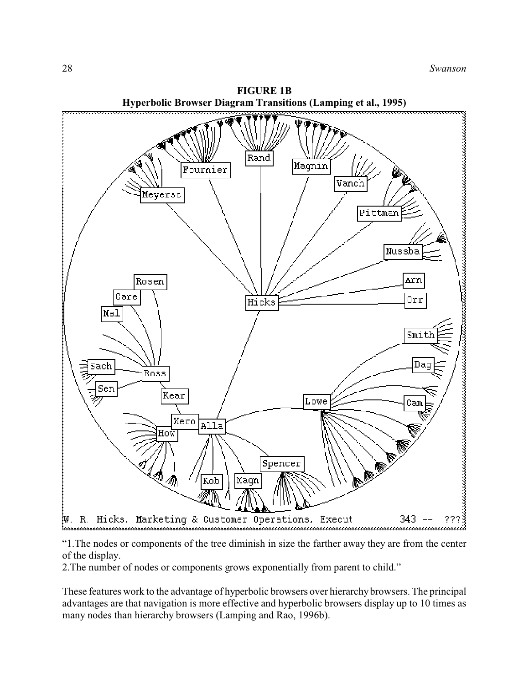

**FIGURE 1B**

"1.The nodes or components of the tree diminish in size the farther away they are from the center of the display.

2.The number of nodes or components grows exponentially from parent to child."

These features work to the advantage of hyperbolic browsers over hierarchybrowsers. The principal advantages are that navigation is more effective and hyperbolic browsers display up to 10 times as many nodes than hierarchy browsers (Lamping and Rao, 1996b).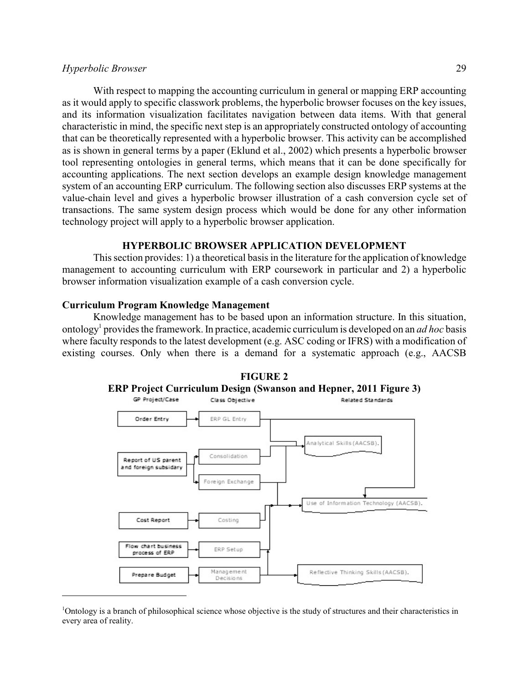# *Hyperbolic Browser* 29

With respect to mapping the accounting curriculum in general or mapping ERP accounting as it would apply to specific classwork problems, the hyperbolic browser focuses on the key issues, and its information visualization facilitates navigation between data items. With that general characteristic in mind, the specific next step is an appropriately constructed ontology of accounting that can be theoretically represented with a hyperbolic browser. This activity can be accomplished as is shown in general terms by a paper (Eklund et al., 2002) which presents a hyperbolic browser tool representing ontologies in general terms, which means that it can be done specifically for accounting applications. The next section develops an example design knowledge management system of an accounting ERP curriculum. The following section also discusses ERP systems at the value-chain level and gives a hyperbolic browser illustration of a cash conversion cycle set of transactions. The same system design process which would be done for any other information technology project will apply to a hyperbolic browser application.

#### **HYPERBOLIC BROWSER APPLICATION DEVELOPMENT**

This section provides: 1) a theoretical basis in the literature for the application of knowledge management to accounting curriculum with ERP coursework in particular and 2) a hyperbolic browser information visualization example of a cash conversion cycle.

# **Curriculum Program Knowledge Management**

Knowledge management has to be based upon an information structure. In this situation, ontology 1 provides the framework. In practice, academic curriculum is developed on an *ad hoc* basis where faculty responds to the latest development (e.g. ASC coding or IFRS) with a modification of existing courses. Only when there is a demand for a systematic approach (e.g., AACSB



<sup>1</sup>Ontology is a branch of philosophical science whose objective is the study of structures and their characteristics in every area of reality.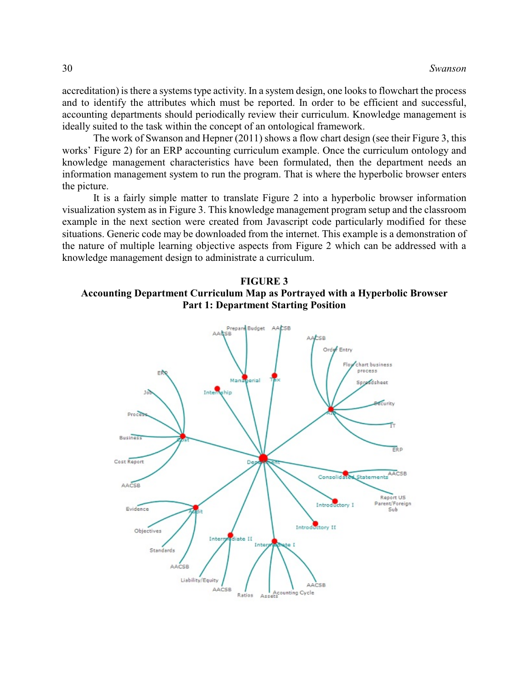accreditation) is there a systems type activity. In a system design, one looks to flowchart the process and to identify the attributes which must be reported. In order to be efficient and successful, accounting departments should periodically review their curriculum. Knowledge management is ideally suited to the task within the concept of an ontological framework.

The work of Swanson and Hepner (2011) shows a flow chart design (see their Figure 3, this works' Figure 2) for an ERP accounting curriculum example. Once the curriculum ontology and knowledge management characteristics have been formulated, then the department needs an information management system to run the program. That is where the hyperbolic browser enters the picture.

It is a fairly simple matter to translate Figure 2 into a hyperbolic browser information visualization system as in Figure 3. This knowledge management program setup and the classroom example in the next section were created from Javascript code particularly modified for these situations. Generic code may be downloaded from the internet. This example is a demonstration of the nature of multiple learning objective aspects from Figure 2 which can be addressed with a knowledge management design to administrate a curriculum.



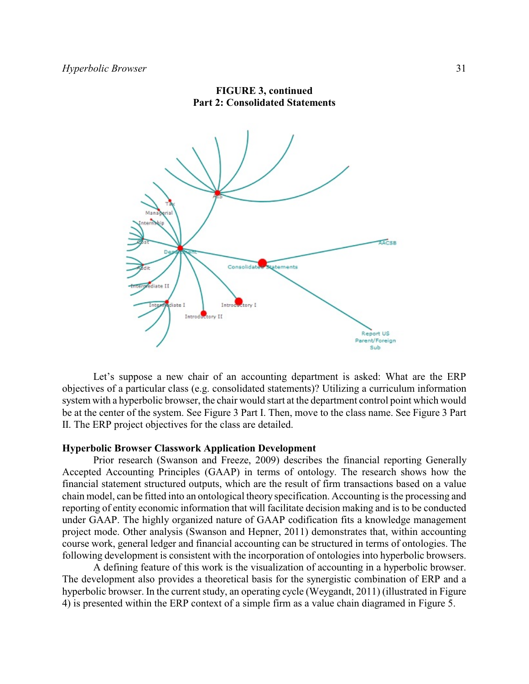

**FIGURE 3, continued Part 2: Consolidated Statements**

Let's suppose a new chair of an accounting department is asked: What are the ERP objectives of a particular class (e.g. consolidated statements)? Utilizing a curriculum information system with a hyperbolic browser, the chair would start at the department control point which would be at the center of the system. See Figure 3 Part I. Then, move to the class name. See Figure 3 Part II. The ERP project objectives for the class are detailed.

# **Hyperbolic Browser Classwork Application Development**

Prior research (Swanson and Freeze, 2009) describes the financial reporting Generally Accepted Accounting Principles (GAAP) in terms of ontology. The research shows how the financial statement structured outputs, which are the result of firm transactions based on a value chain model, can be fitted into an ontological theory specification. Accounting is the processing and reporting of entity economic information that will facilitate decision making and is to be conducted under GAAP. The highly organized nature of GAAP codification fits a knowledge management project mode. Other analysis (Swanson and Hepner, 2011) demonstrates that, within accounting course work, general ledger and financial accounting can be structured in terms of ontologies. The following development is consistent with the incorporation of ontologies into hyperbolic browsers.

A defining feature of this work is the visualization of accounting in a hyperbolic browser. The development also provides a theoretical basis for the synergistic combination of ERP and a hyperbolic browser. In the current study, an operating cycle (Weygandt, 2011) (illustrated in Figure 4) is presented within the ERP context of a simple firm as a value chain diagramed in Figure 5.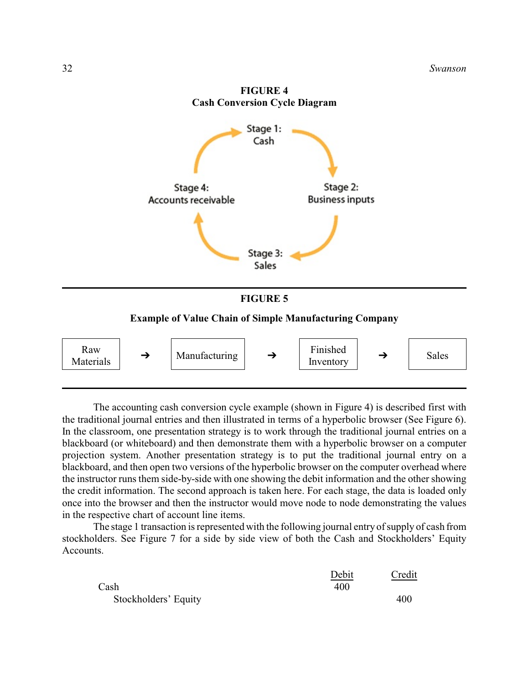

The accounting cash conversion cycle example (shown in Figure 4) is described first with the traditional journal entries and then illustrated in terms of a hyperbolic browser (See Figure 6). In the classroom, one presentation strategy is to work through the traditional journal entries on a blackboard (or whiteboard) and then demonstrate them with a hyperbolic browser on a computer projection system. Another presentation strategy is to put the traditional journal entry on a blackboard, and then open two versions of the hyperbolic browser on the computer overhead where the instructor runs them side-by-side with one showing the debit information and the other showing the credit information. The second approach is taken here. For each stage, the data is loaded only once into the browser and then the instructor would move node to node demonstrating the values in the respective chart of account line items.

The stage 1 transaction is represented with the following journal entry of supply of cash from stockholders. See Figure 7 for a side by side view of both the Cash and Stockholders' Equity Accounts.

|                      | Debit | Credit |
|----------------------|-------|--------|
| Cash                 | 400   |        |
| Stockholders' Equity |       | 400    |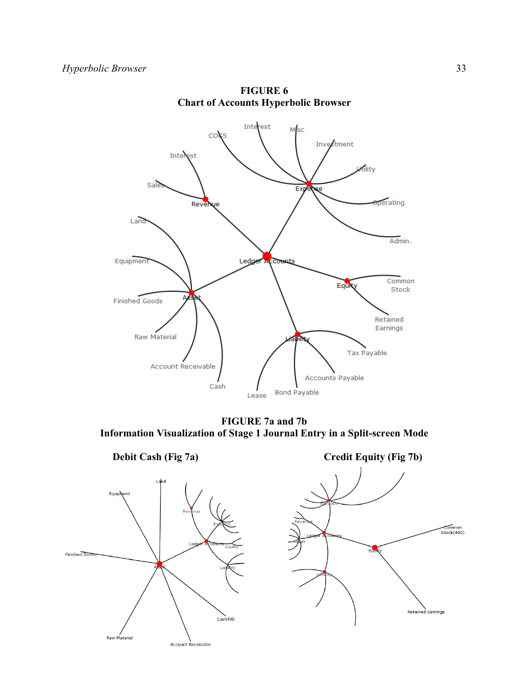

**FIGURE 6 Chart of Accounts Hyperbolic Browser**

**FIGURE 7a and 7b Information Visualization of Stage 1 Journal Entry in a Split-screen Mode**



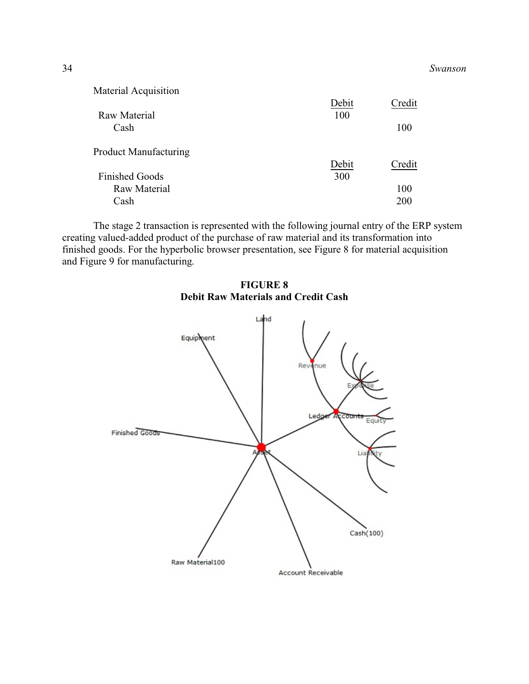| Material Acquisition         |       |        |
|------------------------------|-------|--------|
|                              | Debit | Credit |
| <b>Raw Material</b>          | 100   |        |
| Cash                         |       | 100    |
| <b>Product Manufacturing</b> |       |        |
|                              | Debit | Credit |
| <b>Finished Goods</b>        | 300   |        |
| Raw Material                 |       | 100    |
| Cash                         |       | 200    |

The stage 2 transaction is represented with the following journal entry of the ERP system creating valued-added product of the purchase of raw material and its transformation into finished goods. For the hyperbolic browser presentation, see Figure 8 for material acquisition and Figure 9 for manufacturing.



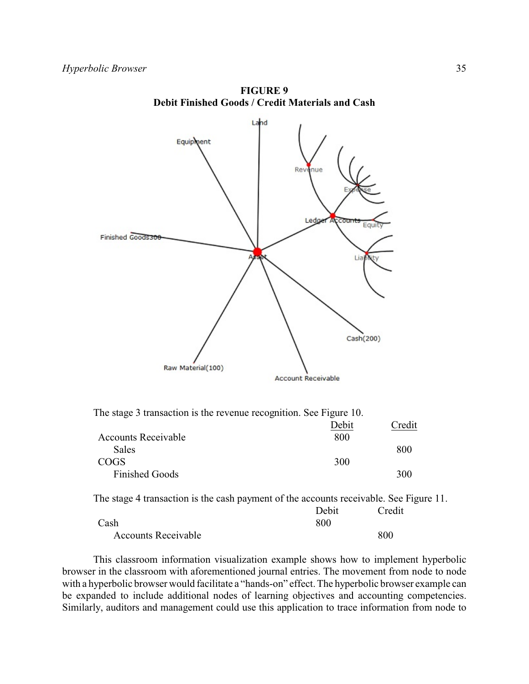

**FIGURE 9 Debit Finished Goods / Credit Materials and Cash**

|  |  | The stage 3 transaction is the revenue recognition. See Figure 10. |  |
|--|--|--------------------------------------------------------------------|--|
|  |  |                                                                    |  |

|                            | Debit | Credit |
|----------------------------|-------|--------|
| <b>Accounts Receivable</b> | 800   |        |
| Sales                      |       | 800    |
| <b>COGS</b>                | 300   |        |
| <b>Finished Goods</b>      |       | 300    |

The stage 4 transaction is the cash payment of the accounts receivable. See Figure 11.

|                            | Debit | Credit |
|----------------------------|-------|--------|
| Cash                       | 800   |        |
| <b>Accounts Receivable</b> |       | 800    |

This classroom information visualization example shows how to implement hyperbolic browser in the classroom with aforementioned journal entries. The movement from node to node with a hyperbolic browser would facilitate a "hands-on" effect. The hyperbolic browser example can be expanded to include additional nodes of learning objectives and accounting competencies. Similarly, auditors and management could use this application to trace information from node to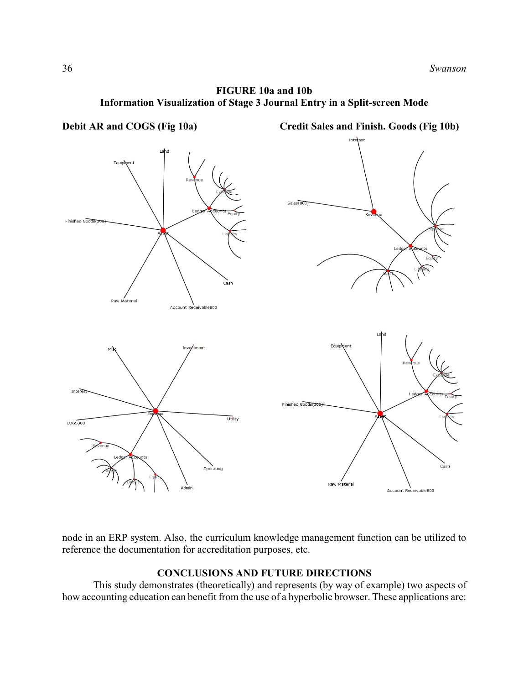



node in an ERP system. Also, the curriculum knowledge management function can be utilized to reference the documentation for accreditation purposes, etc.

# **CONCLUSIONS AND FUTURE DIRECTIONS**

This study demonstrates (theoretically) and represents (by way of example) two aspects of how accounting education can benefit from the use of a hyperbolic browser. These applications are: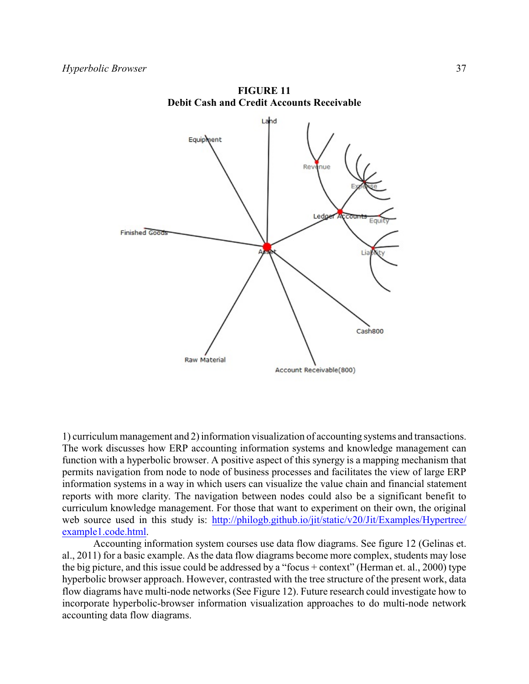

**FIGURE 11 Debit Cash and Credit Accounts Receivable**

1) curriculum management and 2) information visualization of accounting systems and transactions. The work discusses how ERP accounting information systems and knowledge management can function with a hyperbolic browser. A positive aspect of this synergy is a mapping mechanism that permits navigation from node to node of business processes and facilitates the view of large ERP information systems in a way in which users can visualize the value chain and financial statement reports with more clarity. The navigation between nodes could also be a significant benefit to curriculum knowledge management. For those that want to experiment on their own, the original web source used in this study is: [http://philogb.github.io/jit/static/v20/Jit/Examples/Hypertree/](http://philogb.github.io/jit/static/v20/Jit/Examples/Hypertree/example1.code.html) [example1.code.html](http://philogb.github.io/jit/static/v20/Jit/Examples/Hypertree/example1.code.html).

Accounting information system courses use data flow diagrams. See figure 12 (Gelinas et. al., 2011) for a basic example. As the data flow diagrams become more complex, students may lose the big picture, and this issue could be addressed by a "focus + context" (Herman et. al., 2000) type hyperbolic browser approach. However, contrasted with the tree structure of the present work, data flow diagrams have multi-node networks (See Figure 12). Future research could investigate how to incorporate hyperbolic-browser information visualization approaches to do multi-node network accounting data flow diagrams.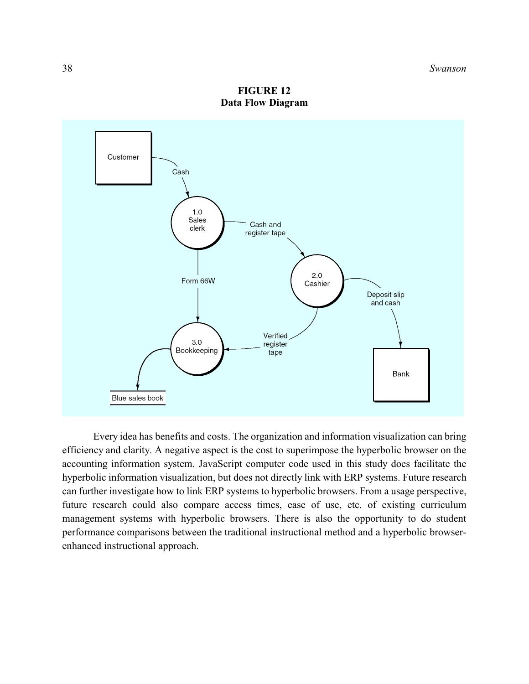

**FIGURE 12 Data Flow Diagram**

Every idea has benefits and costs. The organization and information visualization can bring efficiency and clarity. A negative aspect is the cost to superimpose the hyperbolic browser on the accounting information system. JavaScript computer code used in this study does facilitate the hyperbolic information visualization, but does not directly link with ERP systems. Future research can further investigate how to link ERP systems to hyperbolic browsers. From a usage perspective, future research could also compare access times, ease of use, etc. of existing curriculum management systems with hyperbolic browsers. There is also the opportunity to do student performance comparisons between the traditional instructional method and a hyperbolic browserenhanced instructional approach.